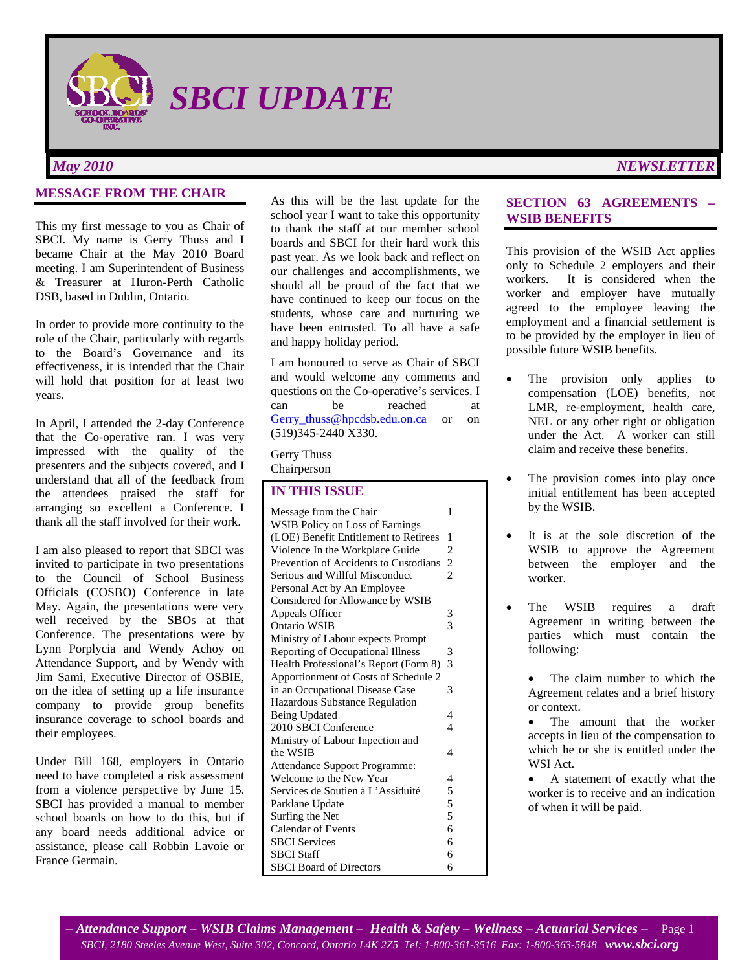

*May 2010 NEWSLETTER*

## **MESSAGE FROM THE CHAIR**

This my first message to you as Chair of SBCI. My name is Gerry Thuss and I became Chair at the May 2010 Board meeting. I am Superintendent of Business & Treasurer at Huron-Perth Catholic DSB, based in Dublin, Ontario.

In order to provide more continuity to the role of the Chair, particularly with regards to the Board's Governance and its effectiveness, it is intended that the Chair will hold that position for at least two years.

In April, I attended the 2-day Conference that the Co-operative ran. I was very impressed with the quality of the presenters and the subjects covered, and I understand that all of the feedback from the attendees praised the staff for arranging so excellent a Conference. I thank all the staff involved for their work.

I am also pleased to report that SBCI was invited to participate in two presentations to the Council of School Business Officials (COSBO) Conference in late May. Again, the presentations were very well received by the SBOs at that Conference. The presentations were by Lynn Porplycia and Wendy Achoy on Attendance Support, and by Wendy with Jim Sami, Executive Director of OSBIE, on the idea of setting up a life insurance company to provide group benefits insurance coverage to school boards and their employees.

Under Bill 168, employers in Ontario need to have completed a risk assessment from a violence perspective by June 15. SBCI has provided a manual to member school boards on how to do this, but if any board needs additional advice or assistance, please call Robbin Lavoie or France Germain.

As this will be the last update for the school year I want to take this opportunity to thank the staff at our member school boards and SBCI for their hard work this past year. As we look back and reflect on our challenges and accomplishments, we should all be proud of the fact that we have continued to keep our focus on the students, whose care and nurturing we have been entrusted. To all have a safe and happy holiday period.

I am honoured to serve as Chair of SBCI and would welcome any comments and questions on the Co-operative's services. I can be reached at Gerry thuss@hpcdsb.edu.on.ca or on (519)345-2440 X330.

Gerry Thuss Chairperson

## **IN THIS ISSUE**

| Message from the Chair                | 1              |
|---------------------------------------|----------------|
| WSIB Policy on Loss of Earnings       |                |
| (LOE) Benefit Entitlement to Retirees | 1              |
| Violence In the Workplace Guide       | $\overline{c}$ |
| Prevention of Accidents to Custodians | $\overline{c}$ |
| Serious and Willful Misconduct        | $\overline{2}$ |
| Personal Act by An Employee           |                |
| Considered for Allowance by WSIB      |                |
| Appeals Officer                       | 3              |
| Ontario WSIB                          | $\overline{3}$ |
| Ministry of Labour expects Prompt     |                |
| Reporting of Occupational Illness     | 3              |
| Health Professional's Report (Form 8) | $\overline{3}$ |
| Apportionment of Costs of Schedule 2  |                |
| in an Occupational Disease Case       | 3              |
| <b>Hazardous Substance Regulation</b> |                |
| Being Updated                         | 4              |
| 2010 SBCI Conference                  | $\overline{4}$ |
| Ministry of Labour Inpection and      |                |
| the WSIB                              | 4              |
| Attendance Support Programme:         |                |
| Welcome to the New Year               | 4              |
| Services de Soutien à L'Assiduité     | 5              |
| Parklane Update                       | $\frac{5}{5}$  |
| Surfing the Net                       |                |
| <b>Calendar of Events</b>             | 6              |
| <b>SBCI</b> Services                  | 6              |
| <b>SBCI</b> Staff                     | 6              |
| <b>SBCI</b> Board of Directors        | 6              |

## **SECTION 63 AGREEMENTS – WSIB BENEFITS**

This provision of the WSIB Act applies only to Schedule 2 employers and their workers. It is considered when the worker and employer have mutually agreed to the employee leaving the employment and a financial settlement is to be provided by the employer in lieu of possible future WSIB benefits.

- The provision only applies to compensation (LOE) benefits, not LMR, re-employment, health care, NEL or any other right or obligation under the Act. A worker can still claim and receive these benefits.
- The provision comes into play once initial entitlement has been accepted by the WSIB.
- It is at the sole discretion of the WSIB to approve the Agreement between the employer and the worker.
- The WSIB requires a draft Agreement in writing between the parties which must contain the following:

The claim number to which the Agreement relates and a brief history or context.

• The amount that the worker accepts in lieu of the compensation to which he or she is entitled under the WSI Act.

• A statement of exactly what the worker is to receive and an indication of when it will be paid.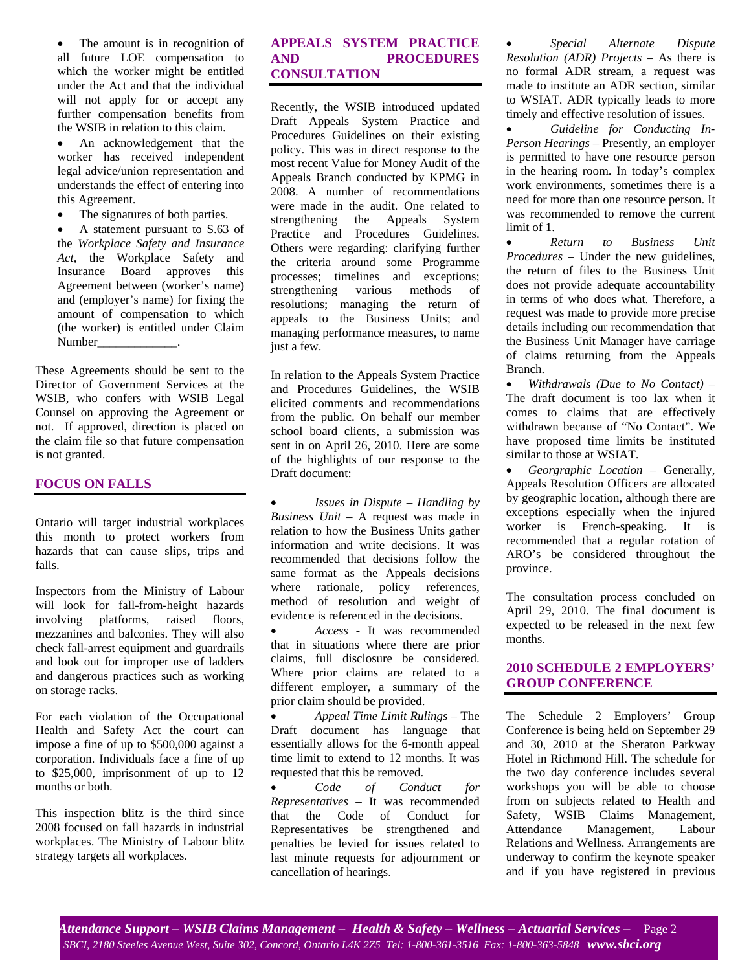• The amount is in recognition of all future LOE compensation to which the worker might be entitled under the Act and that the individual will not apply for or accept any further compensation benefits from the WSIB in relation to this claim.

• An acknowledgement that the worker has received independent legal advice/union representation and understands the effect of entering into this Agreement.

• The signatures of both parties.

• A statement pursuant to S.63 of the *Workplace Safety and Insurance Act,* the Workplace Safety and Insurance Board approves this Agreement between (worker's name) and (employer's name) for fixing the amount of compensation to which (the worker) is entitled under Claim Number \_\_\_\_\_\_\_\_\_\_\_\_\_\_.

These Agreements should be sent to the Director of Government Services at the WSIB, who confers with WSIB Legal Counsel on approving the Agreement or not. If approved, direction is placed on the claim file so that future compensation is not granted.

#### **FOCUS ON FALLS**

Ontario will target industrial workplaces this month to protect workers from hazards that can cause slips, trips and falls.

Inspectors from the Ministry of Labour will look for fall-from-height hazards involving platforms, raised floors, mezzanines and balconies. They will also check fall-arrest equipment and guardrails and look out for improper use of ladders and dangerous practices such as working on storage racks.

For each violation of the Occupational Health and Safety Act the court can impose a fine of up to \$500,000 against a corporation. Individuals face a fine of up to \$25,000, imprisonment of up to 12 months or both.

This inspection blitz is the third since 2008 focused on fall hazards in industrial workplaces. The Ministry of Labour blitz strategy targets all workplaces.

## **APPEALS SYSTEM PRACTICE AND PROCEDURES CONSULTATION**

Recently, the WSIB introduced updated Draft Appeals System Practice and Procedures Guidelines on their existing policy. This was in direct response to the most recent Value for Money Audit of the Appeals Branch conducted by KPMG in 2008. A number of recommendations were made in the audit. One related to strengthening the Appeals System Practice and Procedures Guidelines. Others were regarding: clarifying further the criteria around some Programme processes; timelines and exceptions; strengthening various methods of resolutions; managing the return of appeals to the Business Units; and managing performance measures, to name just a few.

In relation to the Appeals System Practice and Procedures Guidelines, the WSIB elicited comments and recommendations from the public. On behalf our member school board clients, a submission was sent in on April 26, 2010. Here are some of the highlights of our response to the Draft document:

• *Issues in Dispute – Handling by Business Unit* – A request was made in relation to how the Business Units gather information and write decisions. It was recommended that decisions follow the same format as the Appeals decisions where rationale, policy references, method of resolution and weight of evidence is referenced in the decisions.

• *Access* - It was recommended that in situations where there are prior claims, full disclosure be considered. Where prior claims are related to a different employer, a summary of the prior claim should be provided.

• *Appeal Time Limit Rulings* – The Draft document has language that essentially allows for the 6-month appeal time limit to extend to 12 months. It was requested that this be removed.

• *Code of Conduct for Representatives* – It was recommended that the Code of Conduct for Representatives be strengthened and penalties be levied for issues related to last minute requests for adjournment or cancellation of hearings.

• *Special Alternate Dispute Resolution (ADR) Projects* – As there is no formal ADR stream, a request was made to institute an ADR section, similar to WSIAT. ADR typically leads to more timely and effective resolution of issues.

• *Guideline for Conducting In*-*Person Hearings* – Presently, an employer is permitted to have one resource person in the hearing room. In today's complex work environments, sometimes there is a need for more than one resource person. It was recommended to remove the current limit of 1.

• *Return to Business Unit Procedures* – Under the new guidelines, the return of files to the Business Unit does not provide adequate accountability in terms of who does what. Therefore, a request was made to provide more precise details including our recommendation that the Business Unit Manager have carriage of claims returning from the Appeals Branch.

• *Withdrawals (Due to No Contact)* – The draft document is too lax when it comes to claims that are effectively withdrawn because of "No Contact". We have proposed time limits be instituted similar to those at WSIAT.

• *Georgraphic Location* – Generally, Appeals Resolution Officers are allocated by geographic location, although there are exceptions especially when the injured worker is French-speaking. It is recommended that a regular rotation of ARO's be considered throughout the province.

The consultation process concluded on April 29, 2010. The final document is expected to be released in the next few months.

## **2010 SCHEDULE 2 EMPLOYERS' GROUP CONFERENCE**

The Schedule 2 Employers' Group Conference is being held on September 29 and 30, 2010 at the Sheraton Parkway Hotel in Richmond Hill. The schedule for the two day conference includes several workshops you will be able to choose from on subjects related to Health and Safety, WSIB Claims Management, Attendance Management, Labour Relations and Wellness. Arrangements are underway to confirm the keynote speaker and if you have registered in previous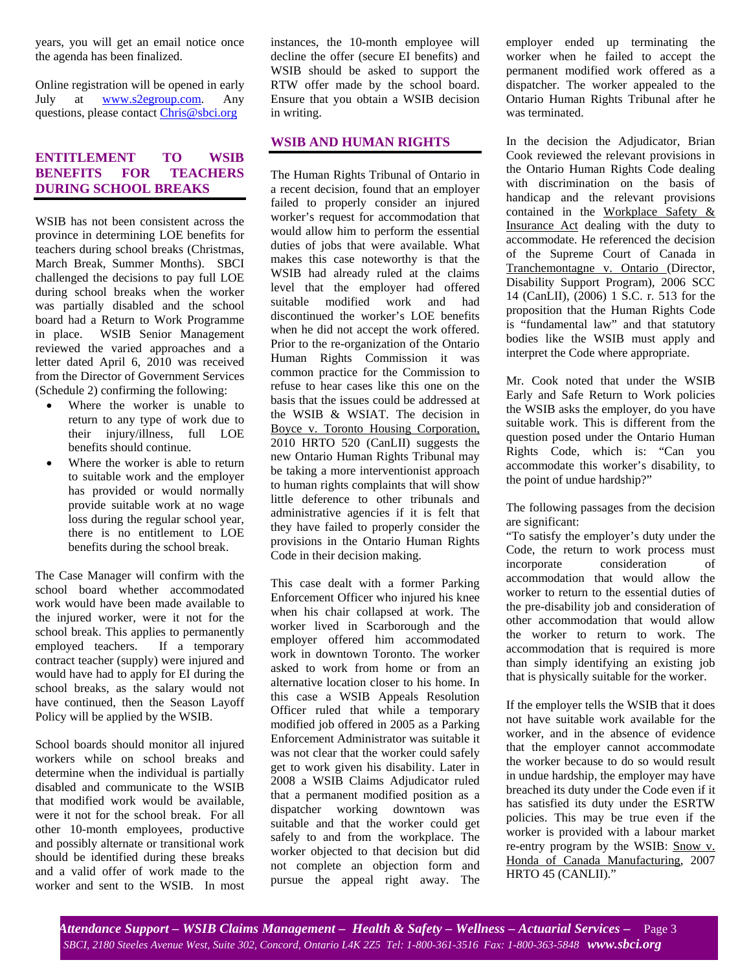years, you will get an email notice once the agenda has been finalized.

Online registration will be opened in early July at **www.s2egroup.com**. Any questions, please contact Chris@sbci.org

# **ENTITLEMENT TO WSIB BENEFITS FOR TEACHERS DURING SCHOOL BREAKS**

WSIB has not been consistent across the province in determining LOE benefits for teachers during school breaks (Christmas, March Break, Summer Months). SBCI challenged the decisions to pay full LOE during school breaks when the worker was partially disabled and the school board had a Return to Work Programme in place. WSIB Senior Management reviewed the varied approaches and a letter dated April 6, 2010 was received from the Director of Government Services (Schedule 2) confirming the following:

- Where the worker is unable to return to any type of work due to their injury/illness, full LOE benefits should continue.
- Where the worker is able to return to suitable work and the employer has provided or would normally provide suitable work at no wage loss during the regular school year, there is no entitlement to LOE benefits during the school break.

The Case Manager will confirm with the school board whether accommodated work would have been made available to the injured worker, were it not for the school break. This applies to permanently employed teachers. If a temporary contract teacher (supply) were injured and would have had to apply for EI during the school breaks, as the salary would not have continued, then the Season Layoff Policy will be applied by the WSIB.

School boards should monitor all injured workers while on school breaks and determine when the individual is partially disabled and communicate to the WSIB that modified work would be available, were it not for the school break. For all other 10-month employees, productive and possibly alternate or transitional work should be identified during these breaks and a valid offer of work made to the worker and sent to the WSIB. In most instances, the 10-month employee will decline the offer (secure EI benefits) and WSIB should be asked to support the RTW offer made by the school board. Ensure that you obtain a WSIB decision in writing.

## **WSIB AND HUMAN RIGHTS**

The Human Rights Tribunal of Ontario in a recent decision, found that an employer failed to properly consider an injured worker's request for accommodation that would allow him to perform the essential duties of jobs that were available. What makes this case noteworthy is that the WSIB had already ruled at the claims level that the employer had offered suitable modified work and had discontinued the worker's LOE benefits when he did not accept the work offered. Prior to the re-organization of the Ontario Human Rights Commission it was common practice for the Commission to refuse to hear cases like this one on the basis that the issues could be addressed at the WSIB & WSIAT. The decision in Boyce v. Toronto Housing Corporation, 2010 HRTO 520 (CanLII) suggests the new Ontario Human Rights Tribunal may be taking a more interventionist approach to human rights complaints that will show little deference to other tribunals and administrative agencies if it is felt that they have failed to properly consider the provisions in the Ontario Human Rights Code in their decision making.

This case dealt with a former Parking Enforcement Officer who injured his knee when his chair collapsed at work. The worker lived in Scarborough and the employer offered him accommodated work in downtown Toronto. The worker asked to work from home or from an alternative location closer to his home. In this case a WSIB Appeals Resolution Officer ruled that while a temporary modified job offered in 2005 as a Parking Enforcement Administrator was suitable it was not clear that the worker could safely get to work given his disability. Later in 2008 a WSIB Claims Adjudicator ruled that a permanent modified position as a dispatcher working downtown was suitable and that the worker could get safely to and from the workplace. The worker objected to that decision but did not complete an objection form and pursue the appeal right away. The employer ended up terminating the worker when he failed to accept the permanent modified work offered as a dispatcher. The worker appealed to the Ontario Human Rights Tribunal after he was terminated.

In the decision the Adjudicator, Brian Cook reviewed the relevant provisions in the Ontario Human Rights Code dealing with discrimination on the basis of handicap and the relevant provisions contained in the Workplace Safety & Insurance Act dealing with the duty to accommodate. He referenced the decision of the Supreme Court of Canada in Tranchemontagne v. Ontario (Director, Disability Support Program), 2006 SCC 14 (CanLII), (2006) 1 S.C. r. 513 for the proposition that the Human Rights Code is "fundamental law" and that statutory bodies like the WSIB must apply and interpret the Code where appropriate.

Mr. Cook noted that under the WSIB Early and Safe Return to Work policies the WSIB asks the employer, do you have suitable work. This is different from the question posed under the Ontario Human Rights Code, which is: "Can you accommodate this worker's disability, to the point of undue hardship?"

The following passages from the decision are significant:

"To satisfy the employer's duty under the Code, the return to work process must incorporate consideration of accommodation that would allow the worker to return to the essential duties of the pre-disability job and consideration of other accommodation that would allow the worker to return to work. The accommodation that is required is more than simply identifying an existing job that is physically suitable for the worker.

If the employer tells the WSIB that it does not have suitable work available for the worker, and in the absence of evidence that the employer cannot accommodate the worker because to do so would result in undue hardship, the employer may have breached its duty under the Code even if it has satisfied its duty under the ESRTW policies. This may be true even if the worker is provided with a labour market re-entry program by the WSIB: Snow v. Honda of Canada Manufacturing, 2007 HRTO 45 (CANLII)."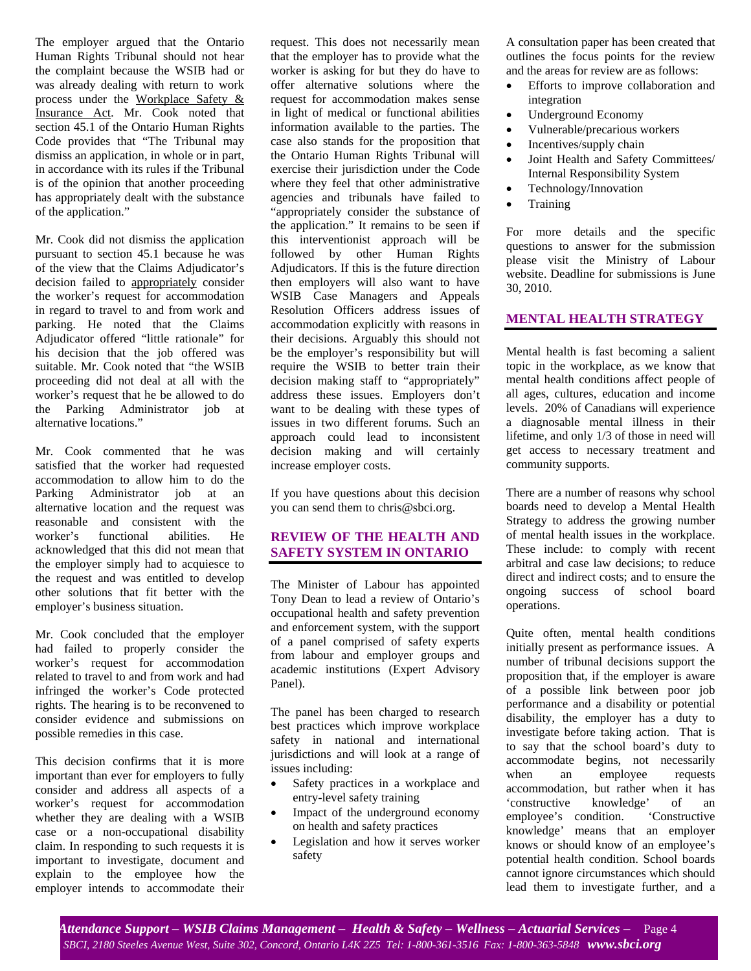The employer argued that the Ontario Human Rights Tribunal should not hear the complaint because the WSIB had or was already dealing with return to work process under the Workplace Safety & Insurance Act. Mr. Cook noted that section 45.1 of the Ontario Human Rights Code provides that "The Tribunal may dismiss an application, in whole or in part, in accordance with its rules if the Tribunal is of the opinion that another proceeding has appropriately dealt with the substance of the application."

Mr. Cook did not dismiss the application pursuant to section 45.1 because he was of the view that the Claims Adjudicator's decision failed to appropriately consider the worker's request for accommodation in regard to travel to and from work and parking. He noted that the Claims Adjudicator offered "little rationale" for his decision that the job offered was suitable. Mr. Cook noted that "the WSIB proceeding did not deal at all with the worker's request that he be allowed to do the Parking Administrator job at alternative locations."

Mr. Cook commented that he was satisfied that the worker had requested accommodation to allow him to do the Parking Administrator job at an alternative location and the request was reasonable and consistent with the worker's functional abilities. He acknowledged that this did not mean that the employer simply had to acquiesce to the request and was entitled to develop other solutions that fit better with the employer's business situation.

Mr. Cook concluded that the employer had failed to properly consider the worker's request for accommodation related to travel to and from work and had infringed the worker's Code protected rights. The hearing is to be reconvened to consider evidence and submissions on possible remedies in this case.

This decision confirms that it is more important than ever for employers to fully consider and address all aspects of a worker's request for accommodation whether they are dealing with a WSIB case or a non-occupational disability claim. In responding to such requests it is important to investigate, document and explain to the employee how the employer intends to accommodate their request. This does not necessarily mean that the employer has to provide what the worker is asking for but they do have to offer alternative solutions where the request for accommodation makes sense in light of medical or functional abilities information available to the parties. The case also stands for the proposition that the Ontario Human Rights Tribunal will exercise their jurisdiction under the Code where they feel that other administrative agencies and tribunals have failed to "appropriately consider the substance of the application." It remains to be seen if this interventionist approach will be followed by other Human Rights Adjudicators. If this is the future direction then employers will also want to have WSIB Case Managers and Appeals Resolution Officers address issues of accommodation explicitly with reasons in their decisions. Arguably this should not be the employer's responsibility but will require the WSIB to better train their decision making staff to "appropriately" address these issues. Employers don't want to be dealing with these types of issues in two different forums. Such an approach could lead to inconsistent decision making and will certainly increase employer costs.

If you have questions about this decision you can send them to chris@sbci.org.

## **REVIEW OF THE HEALTH AND SAFETY SYSTEM IN ONTARIO**

The Minister of Labour has appointed Tony Dean to lead a review of Ontario's occupational health and safety prevention and enforcement system, with the support of a panel comprised of safety experts from labour and employer groups and academic institutions (Expert Advisory Panel).

The panel has been charged to research best practices which improve workplace safety in national and international jurisdictions and will look at a range of issues including:

- Safety practices in a workplace and entry-level safety training
- Impact of the underground economy on health and safety practices
- Legislation and how it serves worker safety

A consultation paper has been created that outlines the focus points for the review and the areas for review are as follows:

- Efforts to improve collaboration and integration
- Underground Economy
- Vulnerable/precarious workers
- Incentives/supply chain
- Joint Health and Safety Committees/ Internal Responsibility System
- Technology/Innovation
- **Training**

For more details and the specific questions to answer for the submission please visit the Ministry of Labour website. Deadline for submissions is June 30, 2010.

# **MENTAL HEALTH STRATEGY**

Mental health is fast becoming a salient topic in the workplace, as we know that mental health conditions affect people of all ages, cultures, education and income levels. 20% of Canadians will experience a diagnosable mental illness in their lifetime, and only 1/3 of those in need will get access to necessary treatment and community supports.

There are a number of reasons why school boards need to develop a Mental Health Strategy to address the growing number of mental health issues in the workplace. These include: to comply with recent arbitral and case law decisions; to reduce direct and indirect costs; and to ensure the ongoing success of school board operations.

Quite often, mental health conditions initially present as performance issues. A number of tribunal decisions support the proposition that, if the employer is aware of a possible link between poor job performance and a disability or potential disability, the employer has a duty to investigate before taking action. That is to say that the school board's duty to accommodate begins, not necessarily when an employee requests accommodation, but rather when it has 'constructive knowledge' of an employee's condition. 'Constructive knowledge' means that an employer knows or should know of an employee's potential health condition. School boards cannot ignore circumstances which should lead them to investigate further, and a

*– Attendance Support – WSIB Claims Management – Health & Safety – Wellness – Actuarial Services* **–** Page 4 *SBCI, 2180 Steeles Avenue West, Suite 302, Concord, Ontario L4K 2Z5 Tel: 1-800-361-3516 Fax: 1-800-363-5848 www.sbci.org*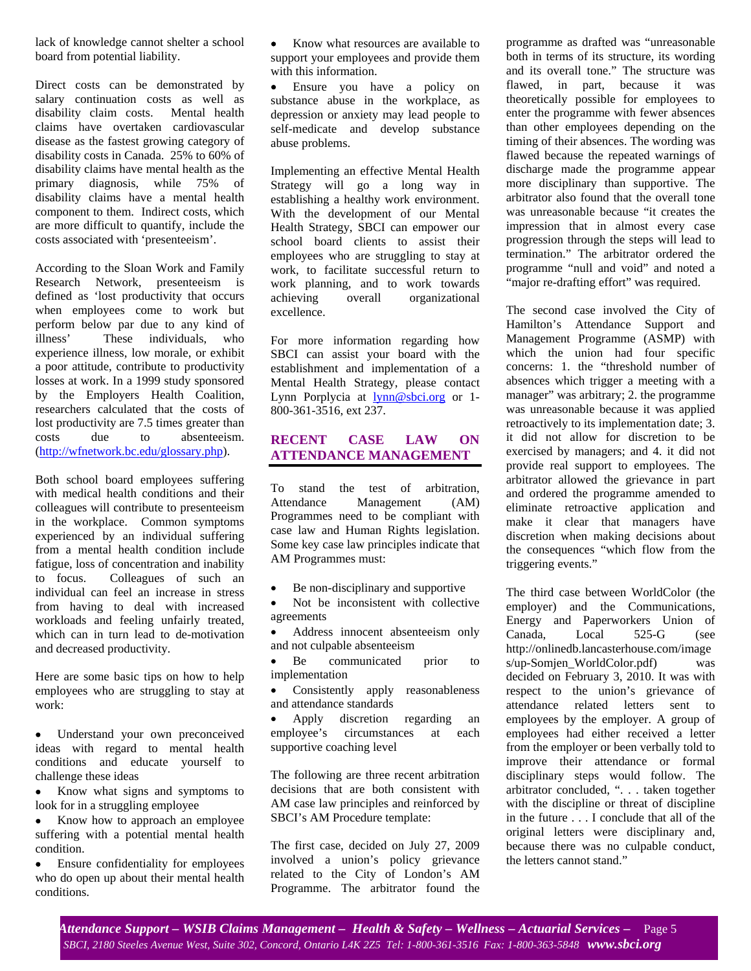lack of knowledge cannot shelter a school board from potential liability.

Direct costs can be demonstrated by salary continuation costs as well as disability claim costs. Mental health claims have overtaken cardiovascular disease as the fastest growing category of disability costs in Canada. 25% to 60% of disability claims have mental health as the primary diagnosis, while 75% of disability claims have a mental health component to them. Indirect costs, which are more difficult to quantify, include the costs associated with 'presenteeism'.

According to the Sloan Work and Family Research Network, presenteeism is defined as 'lost productivity that occurs when employees come to work but perform below par due to any kind of illness' These individuals, who experience illness, low morale, or exhibit a poor attitude, contribute to productivity losses at work. In a 1999 study sponsored by the Employers Health Coalition, researchers calculated that the costs of lost productivity are 7.5 times greater than costs due to absenteeism. (http://wfnetwork.bc.edu/glossary.php).

Both school board employees suffering with medical health conditions and their colleagues will contribute to presenteeism in the workplace. Common symptoms experienced by an individual suffering from a mental health condition include fatigue, loss of concentration and inability to focus. Colleagues of such an individual can feel an increase in stress from having to deal with increased workloads and feeling unfairly treated, which can in turn lead to de-motivation and decreased productivity.

Here are some basic tips on how to help employees who are struggling to stay at work:

- Understand your own preconceived ideas with regard to mental health conditions and educate yourself to challenge these ideas
- Know what signs and symptoms to look for in a struggling employee
- Know how to approach an employee suffering with a potential mental health condition.
- Ensure confidentiality for employees who do open up about their mental health conditions.

• Know what resources are available to support your employees and provide them with this information.

• Ensure you have a policy on substance abuse in the workplace, as depression or anxiety may lead people to self-medicate and develop substance abuse problems.

Implementing an effective Mental Health Strategy will go a long way in establishing a healthy work environment. With the development of our Mental Health Strategy, SBCI can empower our school board clients to assist their employees who are struggling to stay at work, to facilitate successful return to work planning, and to work towards achieving overall organizational excellence.

For more information regarding how SBCI can assist your board with the establishment and implementation of a Mental Health Strategy, please contact Lynn Porplycia at **lynn@sbci.org** or 1-800-361-3516, ext 237.

## **RECENT CASE LAW ON ATTENDANCE MANAGEMENT**

To stand the test of arbitration, Attendance Management (AM) Programmes need to be compliant with case law and Human Rights legislation. Some key case law principles indicate that AM Programmes must:

- Be non-disciplinary and supportive
- Not be inconsistent with collective agreements
- Address innocent absenteeism only and not culpable absenteeism
- Be communicated prior to implementation
- Consistently apply reasonableness and attendance standards
- Apply discretion regarding an employee's circumstances at each supportive coaching level

The following are three recent arbitration decisions that are both consistent with AM case law principles and reinforced by SBCI's AM Procedure template:

The first case, decided on July 27, 2009 involved a union's policy grievance related to the City of London's AM Programme. The arbitrator found the programme as drafted was "unreasonable both in terms of its structure, its wording and its overall tone." The structure was flawed, in part, because it was theoretically possible for employees to enter the programme with fewer absences than other employees depending on the timing of their absences. The wording was flawed because the repeated warnings of discharge made the programme appear more disciplinary than supportive. The arbitrator also found that the overall tone was unreasonable because "it creates the impression that in almost every case progression through the steps will lead to termination." The arbitrator ordered the programme "null and void" and noted a "major re-drafting effort" was required.

The second case involved the City of Hamilton's Attendance Support and Management Programme (ASMP) with which the union had four specific concerns: 1. the "threshold number of absences which trigger a meeting with a manager" was arbitrary; 2. the programme was unreasonable because it was applied retroactively to its implementation date; 3. it did not allow for discretion to be exercised by managers; and 4. it did not provide real support to employees. The arbitrator allowed the grievance in part and ordered the programme amended to eliminate retroactive application and make it clear that managers have discretion when making decisions about the consequences "which flow from the triggering events."

The third case between WorldColor (the employer) and the Communications, Energy and Paperworkers Union of Canada, Local 525-G (see http://onlinedb.lancasterhouse.com/image s/up-Somjen\_WorldColor.pdf) was decided on February 3, 2010. It was with respect to the union's grievance of attendance related letters sent to employees by the employer. A group of employees had either received a letter from the employer or been verbally told to improve their attendance or formal disciplinary steps would follow. The arbitrator concluded, ". . . taken together with the discipline or threat of discipline in the future . . . I conclude that all of the original letters were disciplinary and, because there was no culpable conduct, the letters cannot stand."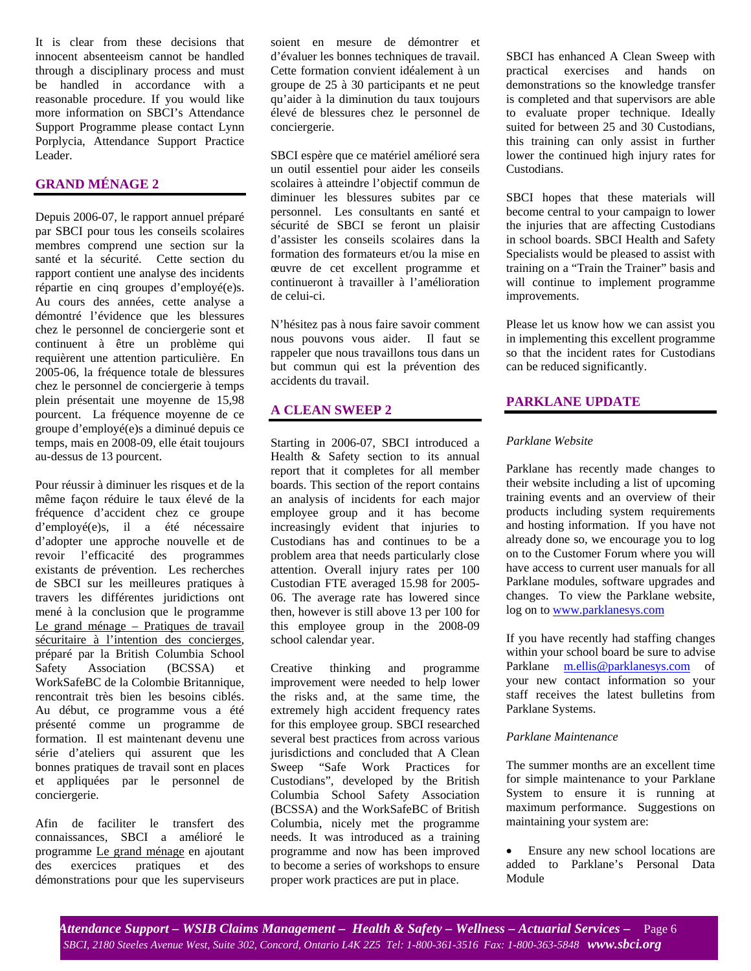It is clear from these decisions that innocent absenteeism cannot be handled through a disciplinary process and must be handled in accordance with a reasonable procedure. If you would like more information on SBCI's Attendance Support Programme please contact Lynn Porplycia, Attendance Support Practice Leader.

# **GRAND MÉNAGE 2**

Depuis 2006-07, le rapport annuel préparé par SBCI pour tous les conseils scolaires membres comprend une section sur la santé et la sécurité. Cette section du rapport contient une analyse des incidents répartie en cinq groupes d'employé(e)s. Au cours des années, cette analyse a démontré l'évidence que les blessures chez le personnel de conciergerie sont et continuent à être un problème qui requièrent une attention particulière. En 2005-06, la fréquence totale de blessures chez le personnel de conciergerie à temps plein présentait une moyenne de 15,98 pourcent. La fréquence moyenne de ce groupe d'employé(e)s a diminué depuis ce temps, mais en 2008-09, elle était toujours au-dessus de 13 pourcent.

Pour réussir à diminuer les risques et de la même façon réduire le taux élevé de la fréquence d'accident chez ce groupe d'employé(e)s, il a été nécessaire d'adopter une approche nouvelle et de revoir l'efficacité des programmes existants de prévention. Les recherches de SBCI sur les meilleures pratiques à travers les différentes juridictions ont mené à la conclusion que le programme Le grand ménage – Pratiques de travail sécuritaire à l'intention des concierges, préparé par la British Columbia School Safety Association (BCSSA) et WorkSafeBC de la Colombie Britannique, rencontrait très bien les besoins ciblés. Au début, ce programme vous a été présenté comme un programme de formation. Il est maintenant devenu une série d'ateliers qui assurent que les bonnes pratiques de travail sont en places et appliquées par le personnel de conciergerie.

Afin de faciliter le transfert des connaissances, SBCI a amélioré le programme Le grand ménage en ajoutant des exercices pratiques et des démonstrations pour que les superviseurs soient en mesure de démontrer et d'évaluer les bonnes techniques de travail. Cette formation convient idéalement à un groupe de 25 à 30 participants et ne peut qu'aider à la diminution du taux toujours élevé de blessures chez le personnel de conciergerie.

SBCI espère que ce matériel amélioré sera un outil essentiel pour aider les conseils scolaires à atteindre l'objectif commun de diminuer les blessures subites par ce personnel. Les consultants en santé et sécurité de SBCI se feront un plaisir d'assister les conseils scolaires dans la formation des formateurs et/ou la mise en œuvre de cet excellent programme et continueront à travailler à l'amélioration de celui-ci.

N'hésitez pas à nous faire savoir comment nous pouvons vous aider. Il faut se rappeler que nous travaillons tous dans un but commun qui est la prévention des accidents du travail.

#### **A CLEAN SWEEP 2**

Starting in 2006-07, SBCI introduced a Health & Safety section to its annual report that it completes for all member boards. This section of the report contains an analysis of incidents for each major employee group and it has become increasingly evident that injuries to Custodians has and continues to be a problem area that needs particularly close attention. Overall injury rates per 100 Custodian FTE averaged 15.98 for 2005- 06. The average rate has lowered since then, however is still above 13 per 100 for this employee group in the 2008-09 school calendar year.

Creative thinking and programme improvement were needed to help lower the risks and, at the same time, the extremely high accident frequency rates for this employee group. SBCI researched several best practices from across various jurisdictions and concluded that A Clean Sweep "Safe Work Practices for Custodians", developed by the British Columbia School Safety Association (BCSSA) and the WorkSafeBC of British Columbia, nicely met the programme needs. It was introduced as a training programme and now has been improved to become a series of workshops to ensure proper work practices are put in place.

SBCI has enhanced A Clean Sweep with practical exercises and hands on demonstrations so the knowledge transfer is completed and that supervisors are able to evaluate proper technique. Ideally suited for between 25 and 30 Custodians, this training can only assist in further lower the continued high injury rates for Custodians.

SBCI hopes that these materials will become central to your campaign to lower the injuries that are affecting Custodians in school boards. SBCI Health and Safety Specialists would be pleased to assist with training on a "Train the Trainer" basis and will continue to implement programme improvements.

Please let us know how we can assist you in implementing this excellent programme so that the incident rates for Custodians can be reduced significantly.

## **PARKLANE UPDATE**

## *Parklane Website*

Parklane has recently made changes to their website including a list of upcoming training events and an overview of their products including system requirements and hosting information. If you have not already done so, we encourage you to log on to the Customer Forum where you will have access to current user manuals for all Parklane modules, software upgrades and changes. To view the Parklane website, log on to www.parklanesys.com

If you have recently had staffing changes within your school board be sure to advise Parklane m.ellis@parklanesys.com of your new contact information so your staff receives the latest bulletins from Parklane Systems.

#### *Parklane Maintenance*

The summer months are an excellent time for simple maintenance to your Parklane System to ensure it is running at maximum performance. Suggestions on maintaining your system are:

• Ensure any new school locations are added to Parklane's Personal Data Module